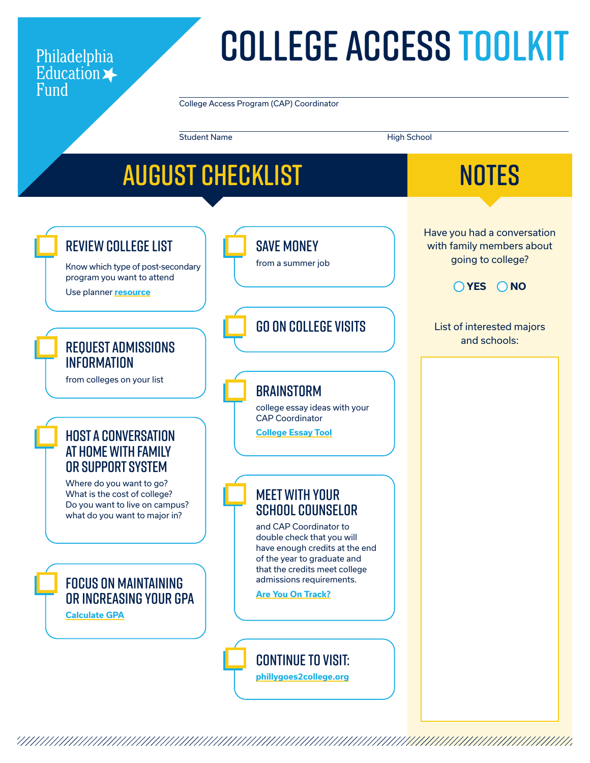### Philadelphia Education >

# College Access TOOLKIT

College Access Program (CAP) Coordinator

Student Name High School

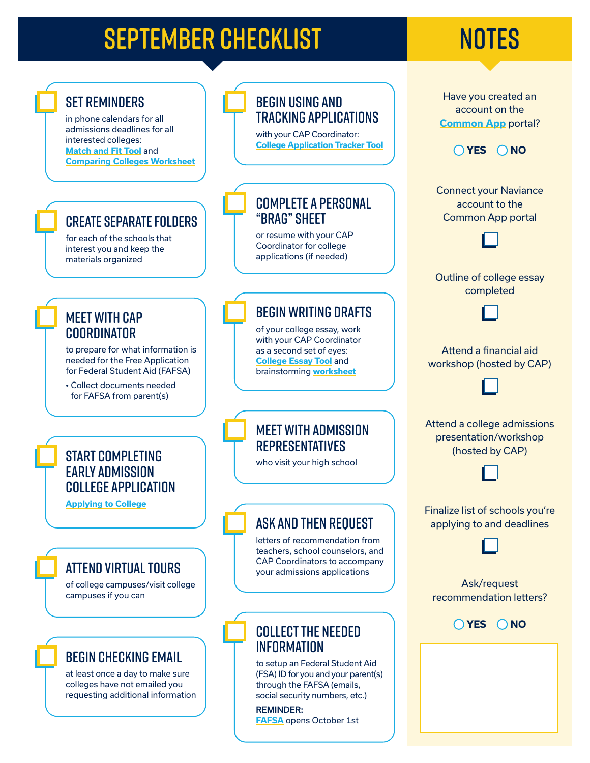## SEPTEMBER CHECKLIST NOTES

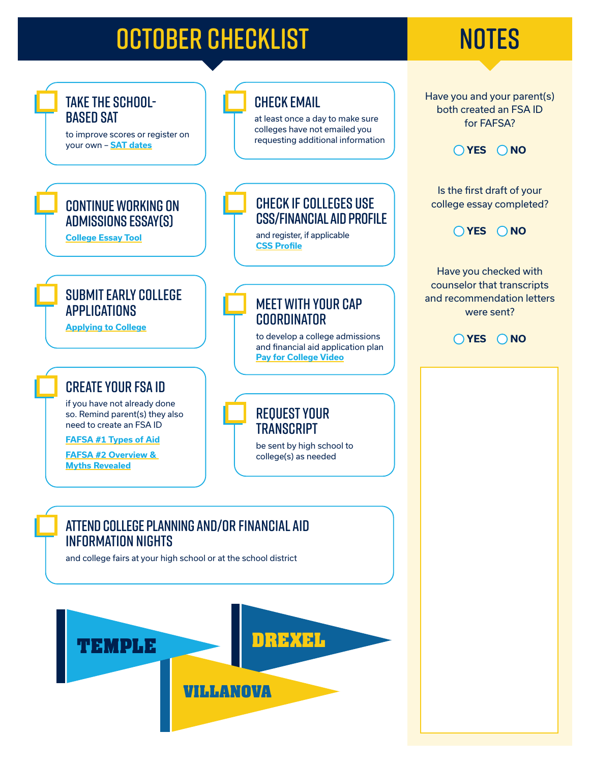## OCTOBER CHECKLIST NOTES

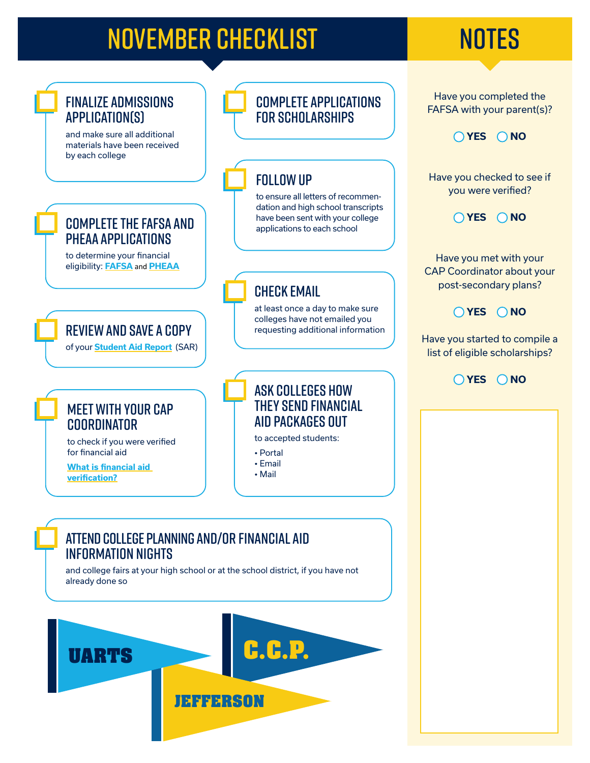## NOVEMBER CHECKLIST NOTES

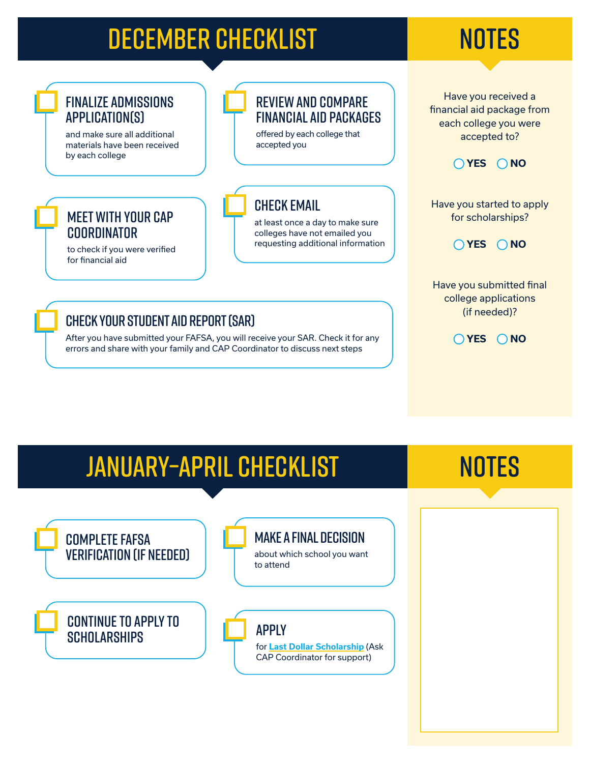## DECEMBER CHECKLIST NOTES

### Finalize admissions application(s)

and make sure all additional materials have been received by each college

Meet with your CAP

to check if you were verified

**COORDINATOR** 

for financial aid

### Review and compare financial aid packages

offered by each college that accepted you

### check email

at least once a day to make sure colleges have not emailed you requesting additional information





Have you started to apply for scholarships?



Have you submitted final college applications (if needed)?



### check your student aid report (sar)

After you have submitted your FAFSA, you will receive your SAR. Check it for any errors and share with your family and CAP Coordinator to discuss next steps

### january–april CHECKLIST

### **NOTES**